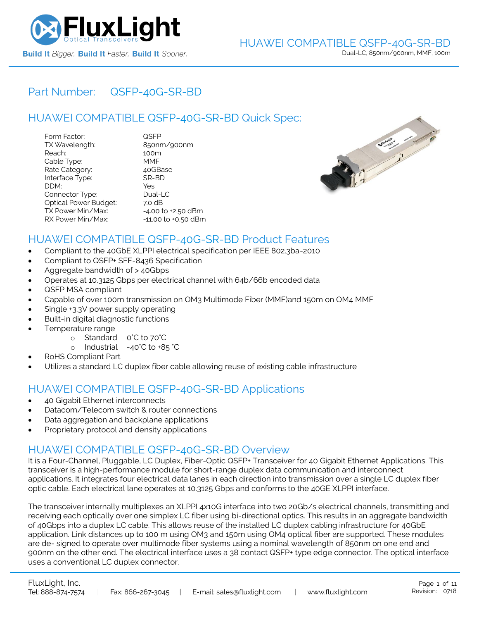

## Part Number: [QSFP-40G-SR-BD](https://www.fluxlight.com/qsfp-40g-sr-bd/)

# HUAWEI COMPATIBLE [QSFP-40G-SR-BD](https://www.fluxlight.com/qsfp-40g-sr-bd/) Quick Spec:

| Form Factor:                 | QSFP                   |
|------------------------------|------------------------|
| TX Wavelength:               | 850nm/900nm            |
| Reach:                       | 100m                   |
| Cable Type:                  | MMF                    |
| Rate Category:               | 40GBase                |
| Interface Type:              | SR-BD                  |
| DDM:                         | Yes                    |
| Connector Type:              | Dual-LC                |
| <b>Optical Power Budget:</b> | 7.0 dB                 |
| TX Power Min/Max:            | $-4.00$ to $+2.50$ dBm |
| RX Power Min/Max:            | -11.00 to +0.50 dBm    |



### HUAWEI COMPATIBLE [QSFP-40G-SR-BD](https://www.fluxlight.com/qsfp-40g-sr-bd/) Product Features

- Compliant to the 40GbE XLPPI electrical specification per IEEE 802.3ba-2010
- Compliant to QSFP+ SFF-8436 Specification
- Aggregate bandwidth of > 40Gbps
- Operates at 10.3125 Gbps per electrical channel with 64b/66b encoded data
- QSFP MSA compliant
- Capable of over 100m transmission on OM3 Multimode Fiber (MMF)and 150m on OM4 MMF
- Single +3.3V power supply operating
- Built-in digital diagnostic functions
- Temperature range
	- o Standard 0°C to 70°C
	- o Industrial -40°C to +85 °C
- RoHS Compliant Part
- Utilizes a standard LC duplex fiber cable allowing reuse of existing cable infrastructure

### HUAWEI COMPATIBLE [QSFP-40G-SR-BD](https://www.fluxlight.com/qsfp-40g-sr-bd/) Applications

- 40 Gigabit Ethernet interconnects
- Datacom/Telecom switch & router connections
- Data aggregation and backplane applications
- Proprietary protocol and density applications

### HUAWEI COMPATIBLE [QSFP-40G-SR-BD](https://www.fluxlight.com/qsfp-40g-sr-bd/) Overview

It is a Four-Channel, Pluggable, LC Duplex, Fiber-Optic QSFP+ Transceiver for 40 Gigabit Ethernet Applications. This transceiver is a high-performance module for short-range duplex data communication and interconnect applications. It integrates four electrical data lanes in each direction into transmission over a single LC duplex fiber optic cable. Each electrical lane operates at 10.3125 Gbps and conforms to the 40GE XLPPI interface.

The transceiver internally multiplexes an XLPPI 4x10G interface into two 20Gb/s electrical channels, transmitting and receiving each optically over one simplex LC fiber using bi-directional optics. This results in an aggregate bandwidth of 40Gbps into a duplex LC cable. This allows reuse of the installed LC duplex cabling infrastructure for 40GbE application. Link distances up to 100 m using OM3 and 150m using OM4 optical fiber are supported. These modules are de- signed to operate over multimode fiber systems using a nominal wavelength of 850nm on one end and 900nm on the other end. The electrical interface uses a 38 contact QSFP+ type edge connector. The optical interface uses a conventional LC duplex connector.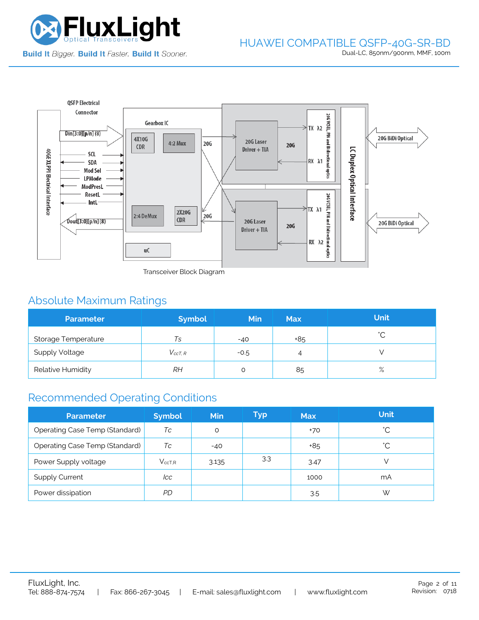



Transceiver Block Diagram

# Absolute Maximum Ratings

| <b>Parameter</b>           | <b>Symbol</b>  | <b>Min</b> | <b>Max</b> | <b>Unit</b> |
|----------------------------|----------------|------------|------------|-------------|
| <b>Storage Temperature</b> | Ts             | $-40$      | +85        | $\hat{ }$   |
| <b>Supply Voltage</b>      | $V_{c c T. R}$ | $-0.5$     | 4          |             |
| Relative Humidity          | RΗ             |            | 85         | $\%$        |

# Recommended Operating Conditions

| <b>Parameter</b>               | <b>Symbol</b> | Min   | Typ | <b>Max</b> | <b>Unit</b> |
|--------------------------------|---------------|-------|-----|------------|-------------|
| Operating Case Temp (Standard) | Тc            | O     |     | $+70$      | °С          |
| Operating Case Temp (Standard) | Тc            | $-40$ |     | +85        | °С          |
| Power Supply voltage           | $V_{ccT.R}$   | 3.135 | 3.3 | 3.47       |             |
| <b>Supply Current</b>          | lcc           |       |     | 1000       | mA          |
| Power dissipation              | PD            |       |     | 3.5        | W           |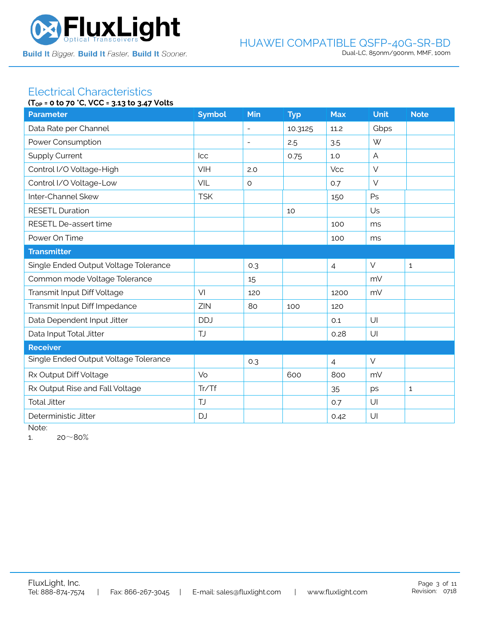

#### Electrical Characteristics **(TOP = 0 to 70 °C, VCC = 3.13 to 3.47 Volts**

|                                       | $(1_{OP} = 0 \text{ to } 70 \text{ C}, \text{VCC} = 3.13 \text{ to } 3.47 \text{ VOLS}$ |                          |            |                |                |              |  |  |
|---------------------------------------|-----------------------------------------------------------------------------------------|--------------------------|------------|----------------|----------------|--------------|--|--|
| <b>Parameter</b>                      | <b>Symbol</b>                                                                           | Min                      | <b>Typ</b> | <b>Max</b>     | <b>Unit</b>    | <b>Note</b>  |  |  |
| Data Rate per Channel                 |                                                                                         | $\overline{\phantom{a}}$ | 10.3125    | 11.2           | Gbps           |              |  |  |
| Power Consumption                     |                                                                                         | $\overline{\phantom{a}}$ | 2.5        | 3.5            | W              |              |  |  |
| <b>Supply Current</b>                 | Icc                                                                                     |                          | 0.75       | 1.0            | $\overline{A}$ |              |  |  |
| Control I/O Voltage-High              | VIH                                                                                     | 2.0                      |            | Vcc            | $\vee$         |              |  |  |
| Control I/O Voltage-Low               | VIL                                                                                     | $\circ$                  |            | 0.7            | $\vee$         |              |  |  |
| Inter-Channel Skew                    | <b>TSK</b>                                                                              |                          |            | 150            | Ps             |              |  |  |
| <b>RESETL Duration</b>                |                                                                                         |                          | 10         |                | Us             |              |  |  |
| RESETL De-assert time                 |                                                                                         |                          |            | 100            | ms             |              |  |  |
| Power On Time                         |                                                                                         |                          |            | 100            | ms             |              |  |  |
| <b>Transmitter</b>                    |                                                                                         |                          |            |                |                |              |  |  |
| Single Ended Output Voltage Tolerance |                                                                                         | 0.3                      |            | $\overline{4}$ | $\vee$         | $\mathbf{1}$ |  |  |
| Common mode Voltage Tolerance         |                                                                                         | 15                       |            |                | mV             |              |  |  |
| Transmit Input Diff Voltage           | VI                                                                                      | 120                      |            | 1200           | mV             |              |  |  |
| Transmit Input Diff Impedance         | ZIN                                                                                     | 80                       | 100        | 120            |                |              |  |  |
| Data Dependent Input Jitter           | <b>DDJ</b>                                                                              |                          |            | 0.1            | U              |              |  |  |
| Data Input Total Jitter               | <b>TJ</b>                                                                               |                          |            | 0.28           | U              |              |  |  |
| <b>Receiver</b>                       |                                                                                         |                          |            |                |                |              |  |  |
| Single Ended Output Voltage Tolerance |                                                                                         | 0.3                      |            | $\overline{4}$ | $\vee$         |              |  |  |
| Rx Output Diff Voltage                | Vo                                                                                      |                          | 600        | 800            | mV             |              |  |  |
| Rx Output Rise and Fall Voltage       | Tr/Tf                                                                                   |                          |            | 35             | ps             | $\mathbf{1}$ |  |  |
| <b>Total Jitter</b>                   | <b>TJ</b>                                                                               |                          |            | 0.7            | U              |              |  |  |
| Deterministic Jitter                  | <b>DJ</b>                                                                               |                          |            | 0.42           | U              |              |  |  |
|                                       |                                                                                         |                          |            |                |                |              |  |  |

Note:

1.  $20~80%$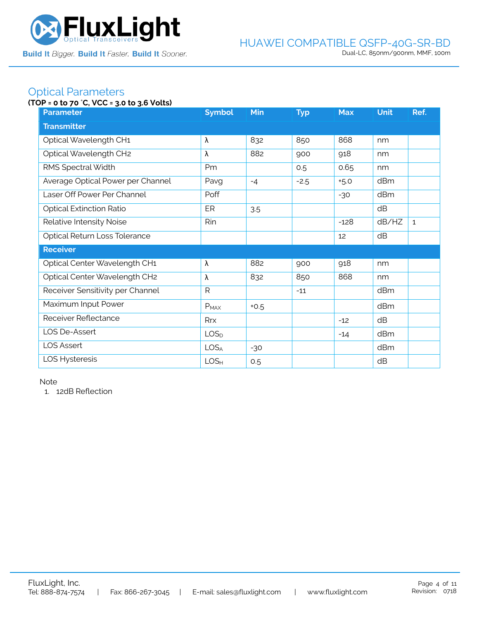

### Optical Parameters

### **(TOP = 0 to 70** °**C, VCC = 3.0 to 3.6 Volts)**

| <b>Parameter</b>                  | <b>Symbol</b>    | <b>Min</b> | <b>Typ</b> | <b>Max</b> | <b>Unit</b> | Ref.         |  |  |
|-----------------------------------|------------------|------------|------------|------------|-------------|--------------|--|--|
| <b>Transmitter</b>                |                  |            |            |            |             |              |  |  |
| Optical Wavelength CH1            | λ                | 832        | 850        | 868        | nm          |              |  |  |
| Optical Wavelength CH2            | λ                | 882        | 900        | 918        | nm          |              |  |  |
| RMS Spectral Width                | Pm               |            | 0.5        | 0.65       | nm          |              |  |  |
| Average Optical Power per Channel | Pavg             | $-4$       | $-2.5$     | $+5.0$     | dBm         |              |  |  |
| Laser Off Power Per Channel       | Poff             |            |            | $-30$      | dBm         |              |  |  |
| <b>Optical Extinction Ratio</b>   | ER               | 3.5        |            |            | dB          |              |  |  |
| Relative Intensity Noise          | Rin              |            |            | $-128$     | dB/HZ       | $\mathbf{1}$ |  |  |
| Optical Return Loss Tolerance     |                  |            |            | 12         | dB          |              |  |  |
| <b>Receiver</b>                   |                  |            |            |            |             |              |  |  |
| Optical Center Wavelength CH1     | λ                | 882        | 900        | 918        | nm          |              |  |  |
| Optical Center Wavelength CH2     | λ                | 832        | 850        | 868        | nm          |              |  |  |
| Receiver Sensitivity per Channel  | $\mathsf{R}$     |            | $-11$      |            | dBm         |              |  |  |
| Maximum Input Power               | $P_{MAX}$        | $+0.5$     |            |            | dBm         |              |  |  |
| Receiver Reflectance              | Rrx              |            |            | $-12$      | dB          |              |  |  |
| LOS De-Assert                     | LOS <sub>D</sub> |            |            | $-14$      | dBm         |              |  |  |
| <b>LOS Assert</b>                 | LOS <sub>A</sub> | $-30$      |            |            | dBm         |              |  |  |
| LOS Hysteresis                    | LOS <sub>H</sub> | 0.5        |            |            | dB          |              |  |  |

Note

1. 12dB Reflection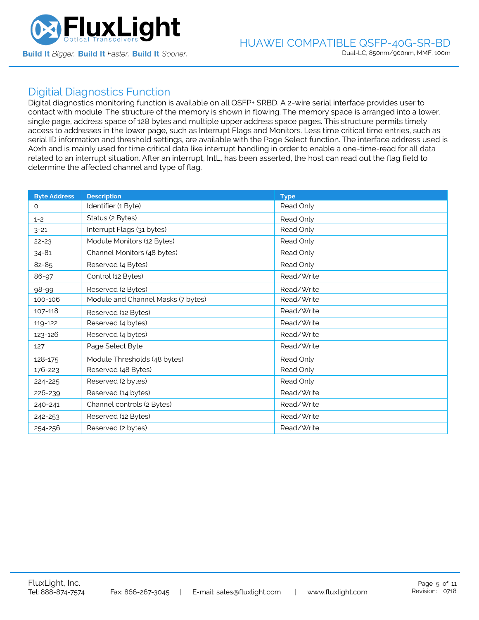

### Digitial Diagnostics Function

Digital diagnostics monitoring function is available on all QSFP+ SRBD. A 2-wire serial interface provides user to contact with module. The structure of the memory is shown in flowing. The memory space is arranged into a lower, single page, address space of 128 bytes and multiple upper address space pages. This structure permits timely access to addresses in the lower page, such as Interrupt Flags and Monitors. Less time critical time entries, such as serial ID information and threshold settings, are available with the Page Select function. The interface address used is A0xh and is mainly used for time critical data like interrupt handling in order to enable a one-time-read for all data related to an interrupt situation. After an interrupt, IntL, has been asserted, the host can read out the flag field to determine the affected channel and type of flag.

| <b>Byte Address</b> | <b>Description</b>                 | <b>Type</b> |
|---------------------|------------------------------------|-------------|
| $\Omega$            | Identifier (1 Byte)                | Read Only   |
| $1 - 2$             | Status (2 Bytes)                   | Read Only   |
| $3 - 21$            | Interrupt Flags (31 bytes)         | Read Only   |
| $22 - 23$           | Module Monitors (12 Bytes)         | Read Only   |
| $34 - 81$           | Channel Monitors (48 bytes)        | Read Only   |
| 82-85               | Reserved (4 Bytes)                 | Read Only   |
| 86-97               | Control (12 Bytes)                 | Read/Write  |
| 98-99               | Reserved (2 Bytes)                 | Read/Write  |
| 100-106             | Module and Channel Masks (7 bytes) | Read/Write  |
| 107-118             | Reserved (12 Bytes)                | Read/Write  |
| 119-122             | Reserved (4 bytes)                 | Read/Write  |
| 123-126             | Reserved (4 bytes)                 | Read/Write  |
| 127                 | Page Select Byte                   | Read/Write  |
| 128-175             | Module Thresholds (48 bytes)       | Read Only   |
| 176-223             | Reserved (48 Bytes)                | Read Only   |
| 224-225             | Reserved (2 bytes)                 | Read Only   |
| 226-239             | Reserved (14 bytes)                | Read/Write  |
| 240-241             | Channel controls (2 Bytes)         | Read/Write  |
| 242-253             | Reserved (12 Bytes)                | Read/Write  |
| 254-256             | Reserved (2 bytes)                 | Read/Write  |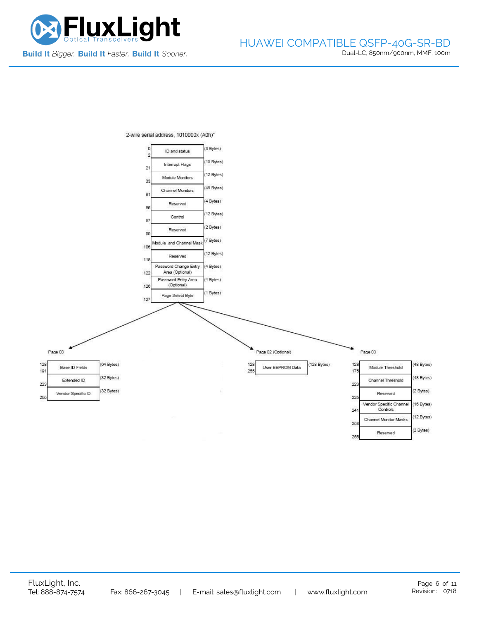

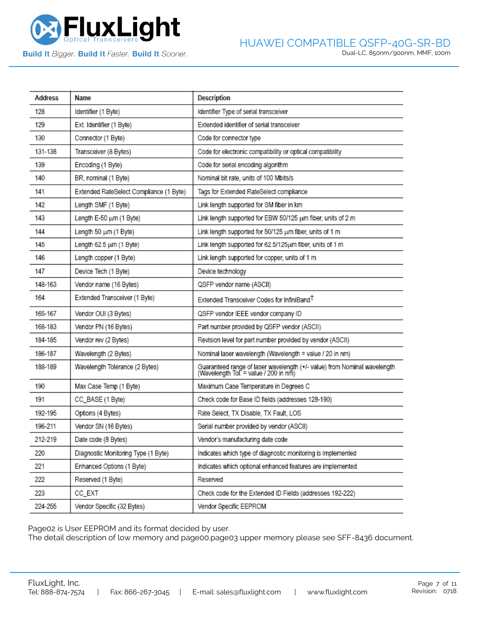

**Build It Bigger. Build It Faster. Build It Sooner.** 

| Address | Name                                    | Description                                                                                                       |
|---------|-----------------------------------------|-------------------------------------------------------------------------------------------------------------------|
| 128     | Identifier (1 Byte)                     | Identifier Type of serial transceiver                                                                             |
| 129     | Ext. Identifier (1 Byte)                | Extended identifier of serial transceiver                                                                         |
| 130     | Connector (1 Byte)                      | Code for connector type                                                                                           |
| 131-138 | Transceiver (8 Bytes)                   | Code for electronic compatibility or optical compatibility                                                        |
| 139     | Encoding (1 Byte)                       | Code for serial encoding algorithm                                                                                |
| 140     | BR, nominal (1 Byte)                    | Nominal bit rate, units of 100 Mbits/s                                                                            |
| 141     | Extended RateSelect Compliance (1 Byte) | Tags for Extended RateSelect compliance                                                                           |
| 142     | Length SMF (1 Byte)                     | Link length supported for SM fiber in km                                                                          |
| 143     | Length E-50 um (1 Byte)                 | Link length supported for EBW 50/125 um fiber, units of 2 m                                                       |
| 144     | Length 50 um (1 Byte)                   | Link length supported for 50/125 um fiber, units of 1 m                                                           |
| 145     | Length 62.5 um (1 Byte)                 | Link length supported for 62.5/125um fiber, units of 1 m                                                          |
| 146     | Length copper (1 Byte)                  | Link length supported for copper, units of 1 m                                                                    |
| 147     | Device Tech (1 Byte)                    | Device technology                                                                                                 |
| 148-163 | Vendor name (16 Bytes)                  | QSFP vendor name (ASCII)                                                                                          |
| 164     | Extended Transceiver (1 Byte)           | Extended Transceiver Codes for InfiniBand <sup>T</sup>                                                            |
| 165-167 | Vendor OUI (3 Bytes)                    | QSFP vendor IEEE vendor company ID                                                                                |
| 168-183 | Vendor PN (16 Bytes)                    | Part number provided by QSFP vendor (ASCII)                                                                       |
| 184-185 | Vendor rev (2 Bytes)                    | Revision level for part number provided by vendor (ASCII)                                                         |
| 186-187 | Wavelength (2 Bytes)                    | Nominal laser wavelength (Wavelength = value / 20 in nm)                                                          |
| 188-189 | Wavelength Tolerance (2 Bytes)          | Guaranteed range of laser wavelength (+/- value) from Nominal wavelength<br>(Wavelength Tol. = value / 200 in nm) |
| 190     | Max Case Temp (1 Byte)                  | Maximum Case Temperature in Degrees C                                                                             |
| 191     | CC_BASE (1 Byte)                        | Check code for Base ID fields (addresses 128-190)                                                                 |
| 192-195 | Options (4 Bytes)                       | Rate Select, TX Disable, TX Fault, LOS                                                                            |
| 196-211 | Vendor SN (16 Bytes)                    | Serial number provided by vendor (ASCII)                                                                          |
| 212-219 | Date code (8 Bytes)                     | Vendor's manufacturing date code                                                                                  |
| 220     | Diagnostic Monitoring Type (1 Byte)     | Indicates which type of diagnostic monitoring is implemented                                                      |
| 221     | Enhanced Options (1 Byte)               | Indicates which optional enhanced features are implemented                                                        |
| 222     | Reserved (1 Byte)                       | Reserved                                                                                                          |
| 223     | CC_EXT                                  | Check code for the Extended ID Fields (addresses 192-222)                                                         |
| 224-255 | Vendor Specific (32 Bytes)              | Vendor Specific EEPROM                                                                                            |

Page02 is User EEPROM and its format decided by user.

The detail description of low memory and page00.page03 upper memory please see SFF-8436 document.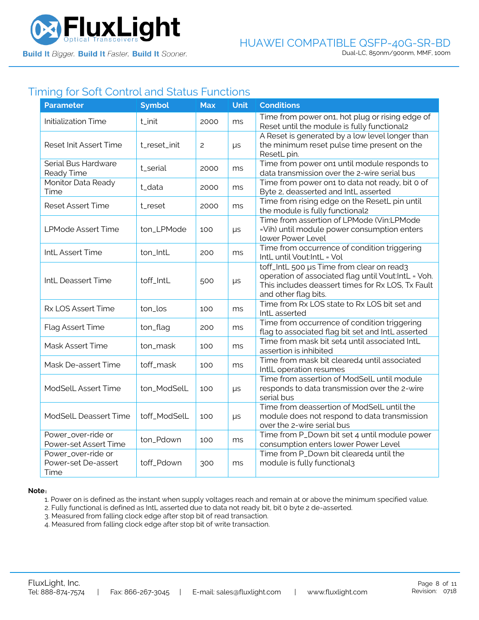

## Timing for Soft Control and Status Functions

| <b>Parameter</b>                                  | <b>Symbol</b> | <b>Max</b>     | <b>Unit</b> | <b>Conditions</b>                                                                                                                                                             |
|---------------------------------------------------|---------------|----------------|-------------|-------------------------------------------------------------------------------------------------------------------------------------------------------------------------------|
| <b>Initialization Time</b>                        | t_init        | 2000           | ms          | Time from power on1, hot plug or rising edge of<br>Reset until the module is fully functional2                                                                                |
| <b>Reset Init Assert Time</b>                     | t_reset_init  | $\overline{c}$ | $\mu s$     | A Reset is generated by a low level longer than<br>the minimum reset pulse time present on the<br>ResetL pin.                                                                 |
| Serial Bus Hardware<br>Ready Time                 | t_serial      | 2000           | ms          | Time from power on1 until module responds to<br>data transmission over the 2-wire serial bus                                                                                  |
| Monitor Data Ready<br>Time                        | t_data        | 2000           | ms          | Time from power on1 to data not ready, bit 0 of<br>Byte 2, deasserted and IntL asserted                                                                                       |
| <b>Reset Assert Time</b>                          | t_reset       | 2000           | ms          | Time from rising edge on the ResetL pin until<br>the module is fully functional2                                                                                              |
| <b>LPMode Assert Time</b>                         | ton_LPMode    | 100            | μs          | Time from assertion of LPMode (Vin:LPMode<br>=Vih) until module power consumption enters<br>lower Power Level                                                                 |
| IntL Assert Time                                  | ton_IntL      | 200            | ms          | Time from occurrence of condition triggering<br>IntL until Vout:IntL = Vol                                                                                                    |
| IntL Deassert Time                                | toff_IntL     | 500            | $\mu s$     | toff_IntL 500 µs Time from clear on read3<br>operation of associated flag until Vout:IntL = Voh.<br>This includes deassert times for Rx LOS, Tx Fault<br>and other flag bits. |
| Rx LOS Assert Time                                | ton_los       | 100            | ms          | Time from Rx LOS state to Rx LOS bit set and<br>IntL asserted                                                                                                                 |
| Flag Assert Time                                  | ton_flag      | 200            | ms          | Time from occurrence of condition triggering<br>flag to associated flag bit set and IntL asserted                                                                             |
| Mask Assert Time                                  | ton_mask      | 100            | ms          | Time from mask bit set4 until associated IntL<br>assertion is inhibited                                                                                                       |
| Mask De-assert Time                               | toff_mask     | 100            | ms          | Time from mask bit cleared4 until associated<br>IntlL operation resumes                                                                                                       |
| ModSelL Assert Time                               | ton_ModSelL   | 100            | $\mu s$     | Time from assertion of ModSelL until module<br>responds to data transmission over the 2-wire<br>serial bus                                                                    |
| ModSelL Deassert Time                             | toff_ModSelL  | 100            | $\mu s$     | Time from deassertion of ModSelL until the<br>module does not respond to data transmission<br>over the 2-wire serial bus                                                      |
| Power_over-ride or<br>Power-set Assert Time       | ton_Pdown     | 100            | ms          | Time from P_Down bit set 4 until module power<br>consumption enters lower Power Level                                                                                         |
| Power_over-ride or<br>Power-set De-assert<br>Time | toff_Pdown    | 300            | ms          | Time from P_Down bit cleared4 until the<br>module is fully functional3                                                                                                        |

#### **Note**:

1. Power on is defined as the instant when supply voltages reach and remain at or above the minimum specified value.

- 2. Fully functional is defined as IntL asserted due to data not ready bit, bit 0 byte 2 de-asserted.
- 3. Measured from falling clock edge after stop bit of read transaction.
- 4. Measured from falling clock edge after stop bit of write transaction.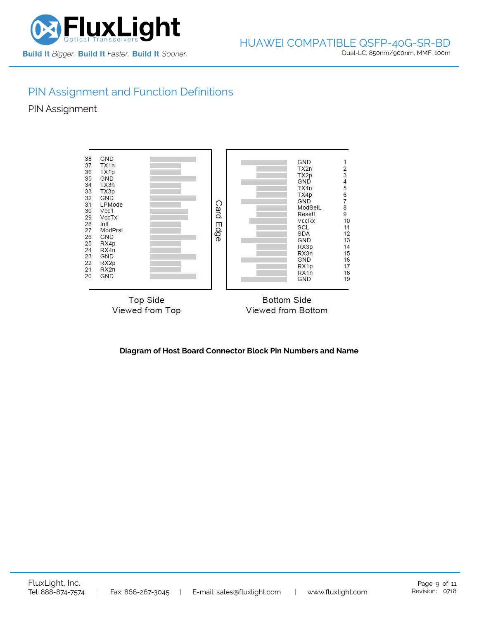

# PIN Assignment and Function Definitions

PIN Assignment



**Diagram of Host Board Connector Block Pin Numbers and Name**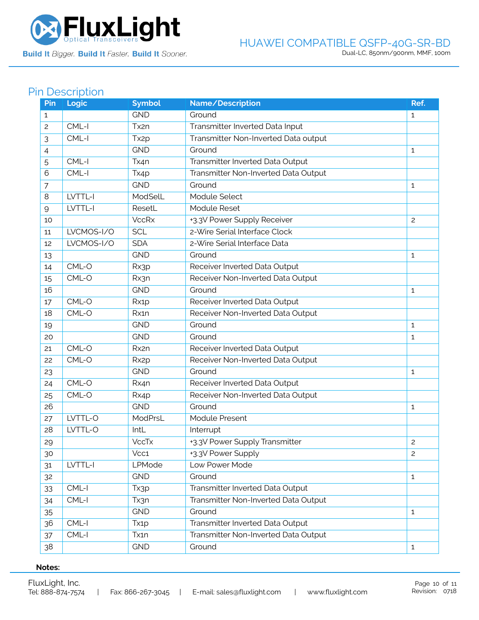

Build It Bigger. Build It Faster. Build It Sooner.

### HUAWEI COMPATIBLE QSFP-40G-SR-BD Dual-LC, 850nm/900nm, MMF, 100m

# Pin Description

| Pin | Logic      | <b>Symbol</b>     | Name/Description                     | Ref.           |
|-----|------------|-------------------|--------------------------------------|----------------|
| 1   |            | <b>GND</b>        | Ground                               | $\mathbf{1}$   |
| 2   | CML-I      | Tx2n              | Transmitter Inverted Data Input      |                |
| 3   | CML-I      | Tx <sub>2p</sub>  | Transmitter Non-Inverted Data output |                |
| 4   |            | <b>GND</b>        | Ground                               | $\mathbf{1}$   |
| 5   | CML-I      | Tx4n              | Transmitter Inverted Data Output     |                |
| 6   | CML-I      | Tx4p              | Transmitter Non-Inverted Data Output |                |
| 7   |            | <b>GND</b>        | Ground                               | $\mathbf{1}$   |
| 8   | LVTTL-I    | ModSelL           | Module Select                        |                |
| 9   | LVTTL-I    | ResetL            | Module Reset                         |                |
| 10  |            | <b>VccRx</b>      | +3.3V Power Supply Receiver          | $\overline{c}$ |
| 11  | LVCMOS-I/O | <b>SCL</b>        | 2-Wire Serial Interface Clock        |                |
| 12  | LVCMOS-I/O | <b>SDA</b>        | 2-Wire Serial Interface Data         |                |
| 13  |            | <b>GND</b>        | Ground                               | 1              |
| 14  | CML-O      | Rx3p              | Receiver Inverted Data Output        |                |
| 15  | CML-O      | Rx3n              | Receiver Non-Inverted Data Output    |                |
| 16  |            | <b>GND</b>        | Ground                               | 1              |
| 17  | CML-O      | Rx1p              | Receiver Inverted Data Output        |                |
| 18  | CML-O      | Rx1n              | Receiver Non-Inverted Data Output    |                |
| 19  |            | <b>GND</b>        | Ground                               | $\mathbf{1}$   |
| 20  |            | <b>GND</b>        | Ground                               | 1              |
| 21  | CML-O      | Rx2n              | Receiver Inverted Data Output        |                |
| 22  | CML-O      | Rx <sub>2</sub> p | Receiver Non-Inverted Data Output    |                |
| 23  |            | <b>GND</b>        | Ground                               | 1              |
| 24  | CML-O      | Rx4n              | Receiver Inverted Data Output        |                |
| 25  | CML-O      | Rx4p              | Receiver Non-Inverted Data Output    |                |
| 26  |            | <b>GND</b>        | Ground                               | 1              |
| 27  | LVTTL-O    | ModPrsL           | Module Present                       |                |
| 28  | LVTTL-O    | IntL              | Interrupt                            |                |
| 29  |            | <b>VccTx</b>      | +3.3V Power Supply Transmitter       | $\mathbf{2}$   |
| 30  |            | Vcc1              | +3.3V Power Supply                   | $\overline{c}$ |
| 31  | LVTTL-I    | LPMode            | Low Power Mode                       |                |
| 32  |            | <b>GND</b>        | Ground                               | $\mathbf{1}$   |
| 33  | CML-I      | Tx3p              | Transmitter Inverted Data Output     |                |
| 34  | CML-I      | Tx3n              | Transmitter Non-Inverted Data Output |                |
| 35  |            | <b>GND</b>        | Ground                               | $\mathbf{1}$   |
| 36  | CML-I      | Tx <sub>1</sub> p | Transmitter Inverted Data Output     |                |
| 37  | $CML-I$    | Tx1n              | Transmitter Non-Inverted Data Output |                |
| 38  |            | <b>GND</b>        | Ground                               | $\mathbf{1}$   |

### **Notes:**